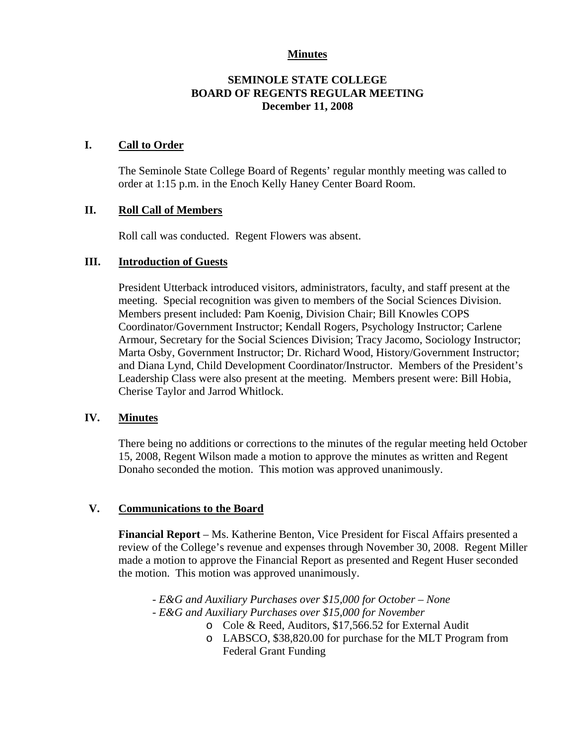## **Minutes**

## **SEMINOLE STATE COLLEGE BOARD OF REGENTS REGULAR MEETING December 11, 2008**

### **I. Call to Order**

The Seminole State College Board of Regents' regular monthly meeting was called to order at 1:15 p.m. in the Enoch Kelly Haney Center Board Room.

## **II. Roll Call of Members**

Roll call was conducted. Regent Flowers was absent.

## **III. Introduction of Guests**

President Utterback introduced visitors, administrators, faculty, and staff present at the meeting. Special recognition was given to members of the Social Sciences Division. Members present included: Pam Koenig, Division Chair; Bill Knowles COPS Coordinator/Government Instructor; Kendall Rogers, Psychology Instructor; Carlene Armour, Secretary for the Social Sciences Division; Tracy Jacomo, Sociology Instructor; Marta Osby, Government Instructor; Dr. Richard Wood, History/Government Instructor; and Diana Lynd, Child Development Coordinator/Instructor. Members of the President's Leadership Class were also present at the meeting. Members present were: Bill Hobia, Cherise Taylor and Jarrod Whitlock.

### **IV. Minutes**

There being no additions or corrections to the minutes of the regular meeting held October 15, 2008, Regent Wilson made a motion to approve the minutes as written and Regent Donaho seconded the motion. This motion was approved unanimously.

# **V. Communications to the Board**

**Financial Report** – Ms. Katherine Benton, Vice President for Fiscal Affairs presented a review of the College's revenue and expenses through November 30, 2008. Regent Miller made a motion to approve the Financial Report as presented and Regent Huser seconded the motion. This motion was approved unanimously.

*- E&G and Auxiliary Purchases over \$15,000 for October – None - E&G and Auxiliary Purchases over \$15,000 for November* 

- o Cole & Reed, Auditors, \$17,566.52 for External Audit
- o LABSCO, \$38,820.00 for purchase for the MLT Program from Federal Grant Funding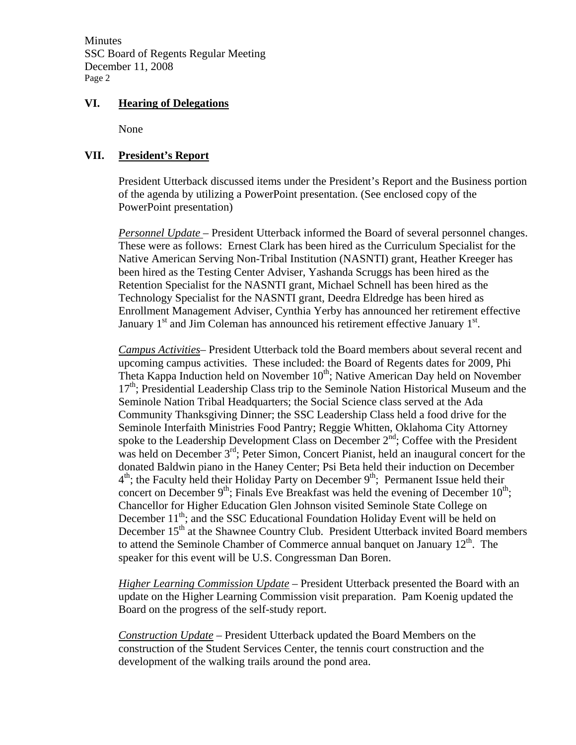Minutes SSC Board of Regents Regular Meeting December 11, 2008 Page 2

### **VI. Hearing of Delegations**

None

## **VII. President's Report**

President Utterback discussed items under the President's Report and the Business portion of the agenda by utilizing a PowerPoint presentation. (See enclosed copy of the PowerPoint presentation)

*Personnel Update* – President Utterback informed the Board of several personnel changes. These were as follows: Ernest Clark has been hired as the Curriculum Specialist for the Native American Serving Non-Tribal Institution (NASNTI) grant, Heather Kreeger has been hired as the Testing Center Adviser, Yashanda Scruggs has been hired as the Retention Specialist for the NASNTI grant, Michael Schnell has been hired as the Technology Specialist for the NASNTI grant, Deedra Eldredge has been hired as Enrollment Management Adviser, Cynthia Yerby has announced her retirement effective January  $1<sup>st</sup>$  and Jim Coleman has announced his retirement effective January  $1<sup>st</sup>$ .

*Campus Activities*– President Utterback told the Board members about several recent and upcoming campus activities. These included: the Board of Regents dates for 2009, Phi Theta Kappa Induction held on November  $10<sup>th</sup>$ ; Native American Day held on November  $17<sup>th</sup>$ ; Presidential Leadership Class trip to the Seminole Nation Historical Museum and the Seminole Nation Tribal Headquarters; the Social Science class served at the Ada Community Thanksgiving Dinner; the SSC Leadership Class held a food drive for the Seminole Interfaith Ministries Food Pantry; Reggie Whitten, Oklahoma City Attorney spoke to the Leadership Development Class on December  $2<sup>nd</sup>$ ; Coffee with the President was held on December  $3<sup>rd</sup>$ ; Peter Simon, Concert Pianist, held an inaugural concert for the donated Baldwin piano in the Haney Center; Psi Beta held their induction on December  $4<sup>th</sup>$ ; the Faculty held their Holiday Party on December  $9<sup>th</sup>$ ; Permanent Issue held their concert on December  $9<sup>th</sup>$ ; Finals Eve Breakfast was held the evening of December  $10<sup>th</sup>$ ; Chancellor for Higher Education Glen Johnson visited Seminole State College on December  $11<sup>th</sup>$ ; and the SSC Educational Foundation Holiday Event will be held on December 15<sup>th</sup> at the Shawnee Country Club. President Utterback invited Board members to attend the Seminole Chamber of Commerce annual banquet on January  $12<sup>th</sup>$ . The speaker for this event will be U.S. Congressman Dan Boren.

*Higher Learning Commission Update* – President Utterback presented the Board with an update on the Higher Learning Commission visit preparation. Pam Koenig updated the Board on the progress of the self-study report.

*Construction Update –* President Utterback updated the Board Members on the construction of the Student Services Center, the tennis court construction and the development of the walking trails around the pond area.